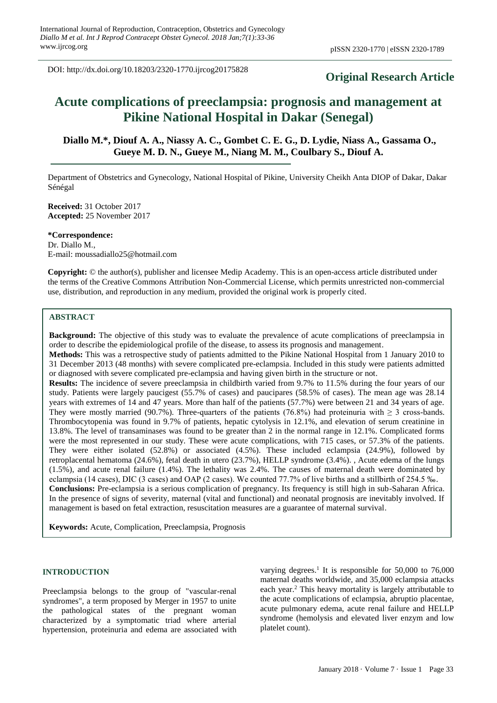DOI: http://dx.doi.org/10.18203/2320-1770.ijrcog20175828

# **Original Research Article**

# **Acute complications of preeclampsia: prognosis and management at Pikine National Hospital in Dakar (Senegal)**

**Diallo M.\*, Diouf A. A., Niassy A. C., Gombet C. E. G., D. Lydie, Niass A., Gassama O., Gueye M. D. N., Gueye M., Niang M. M., Coulbary S., Diouf A.**

Department of Obstetrics and Gynecology, National Hospital of Pikine, University Cheikh Anta DIOP of Dakar, Dakar Sénégal

**Received:** 31 October 2017 **Accepted:** 25 November 2017

**\*Correspondence:** Dr. Diallo M., E-mail: moussadiallo25@hotmail.com

**Copyright:** © the author(s), publisher and licensee Medip Academy. This is an open-access article distributed under the terms of the Creative Commons Attribution Non-Commercial License, which permits unrestricted non-commercial use, distribution, and reproduction in any medium, provided the original work is properly cited.

## **ABSTRACT**

**Background:** The objective of this study was to evaluate the prevalence of acute complications of preeclampsia in order to describe the epidemiological profile of the disease, to assess its prognosis and management.

**Methods:** This was a retrospective study of patients admitted to the Pikine National Hospital from 1 January 2010 to 31 December 2013 (48 months) with severe complicated pre-eclampsia. Included in this study were patients admitted or diagnosed with severe complicated pre-eclampsia and having given birth in the structure or not.

**Results:** The incidence of severe preeclampsia in childbirth varied from 9.7% to 11.5% during the four years of our study. Patients were largely paucigest (55.7% of cases) and paucipares (58.5% of cases). The mean age was 28.14 years with extremes of 14 and 47 years. More than half of the patients (57.7%) were between 21 and 34 years of age. They were mostly married (90.7%). Three-quarters of the patients (76.8%) had proteinuria with  $\geq$  3 cross-bands. Thrombocytopenia was found in 9.7% of patients, hepatic cytolysis in 12.1%, and elevation of serum creatinine in 13.8%. The level of transaminases was found to be greater than 2 in the normal range in 12.1%. Complicated forms were the most represented in our study. These were acute complications, with 715 cases, or 57.3% of the patients. They were either isolated (52.8%) or associated (4.5%). These included eclampsia (24.9%), followed by retroplacental hematoma (24.6%), fetal death in utero (23.7%), HELLP syndrome (3.4%). , Acute edema of the lungs (1.5%), and acute renal failure (1.4%). The lethality was 2.4%. The causes of maternal death were dominated by eclampsia (14 cases), DIC (3 cases) and OAP (2 cases). We counted 77.7% of live births and a stillbirth of 254.5 ‰. **Conclusions:** Pre-eclampsia is a serious complication of pregnancy. Its frequency is still high in sub-Saharan Africa. In the presence of signs of severity, maternal (vital and functional) and neonatal prognosis are inevitably involved. If management is based on fetal extraction, resuscitation measures are a guarantee of maternal survival.

**Keywords:** Acute, Complication, Preeclampsia, Prognosis

#### **INTRODUCTION**

Preeclampsia belongs to the group of "vascular-renal syndromes", a term proposed by Merger in 1957 to unite the pathological states of the pregnant woman characterized by a symptomatic triad where arterial hypertension, proteinuria and edema are associated with

varying degrees. 1 It is responsible for 50,000 to 76,000 maternal deaths worldwide, and 35,000 eclampsia attacks each year. <sup>2</sup> This heavy mortality is largely attributable to the acute complications of eclampsia, abruptio placentae, acute pulmonary edema, acute renal failure and HELLP syndrome (hemolysis and elevated liver enzym and low platelet count).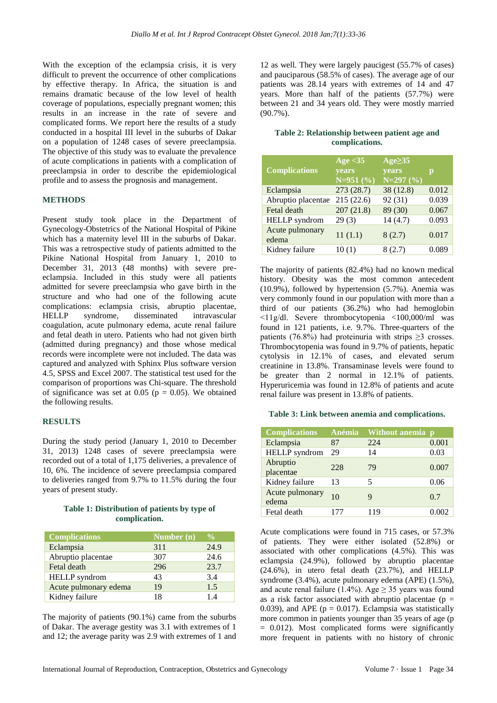With the exception of the eclampsia crisis, it is very difficult to prevent the occurrence of other complications by effective therapy. In Africa, the situation is and remains dramatic because of the low level of health coverage of populations, especially pregnant women; this results in an increase in the rate of severe and complicated forms. We report here the results of a study conducted in a hospital III level in the suburbs of Dakar on a population of 1248 cases of severe preeclampsia. The objective of this study was to evaluate the prevalence of acute complications in patients with a complication of preeclampsia in order to describe the epidemiological profile and to assess the prognosis and management.

#### **METHODS**

Present study took place in the Department of Gynecology-Obstetrics of the National Hospital of Pikine which has a maternity level III in the suburbs of Dakar. This was a retrospective study of patients admitted to the Pikine National Hospital from January 1, 2010 to December 31, 2013 (48 months) with severe preeclampsia. Included in this study were all patients admitted for severe preeclampsia who gave birth in the structure and who had one of the following acute complications: eclampsia crisis, abruptio placentae, HELLP syndrome, disseminated intravascular coagulation, acute pulmonary edema, acute renal failure and fetal death in utero. Patients who had not given birth (admitted during pregnancy) and those whose medical records were incomplete were not included. The data was captured and analyzed with Sphinx Plus software version 4.5, SPSS and Excel 2007. The statistical test used for the comparison of proportions was Chi-square. The threshold of significance was set at 0.05 ( $p = 0.05$ ). We obtained the following results.

#### **RESULTS**

During the study period (January 1, 2010 to December 31, 2013) 1248 cases of severe preeclampsia were recorded out of a total of 1,175 deliveries, a prevalence of 10, 6%. The incidence of severe preeclampsia compared to deliveries ranged from 9.7% to 11.5% during the four years of present study.

## **Table 1: Distribution of patients by type of complication.**

| <b>Complications</b>  | Number $(n)$ | $\frac{1}{2}$ |
|-----------------------|--------------|---------------|
| Eclampsia             | 311          | 24.9          |
| Abruptio placentae    | 307          | 24.6          |
| Fetal death           | 296          | 23.7          |
| <b>HELLP</b> syndrom  | 43           | 3.4           |
| Acute pulmonary edema | 19           | 1.5           |
| Kidney failure        | 18           | 14            |

The majority of patients (90.1%) came from the suburbs of Dakar. The average gestity was 3.1 with extremes of 1 and 12; the average parity was 2.9 with extremes of 1 and

12 as well. They were largely paucigest (55.7% of cases) and pauciparous (58.5% of cases). The average age of our patients was 28.14 years with extremes of 14 and 47 years. More than half of the patients (57.7%) were between 21 and 34 years old. They were mostly married  $(90.7\%)$ .

#### **Table 2: Relationship between patient age and complications.**

|                          | Age $<$ 35                  | Age <sub>235</sub> |       |
|--------------------------|-----------------------------|--------------------|-------|
| <b>Complications</b>     | <b>vears</b><br>$N=951$ (%) | <b>vears</b>       | p     |
|                          |                             | $N=297(%)$         |       |
| Eclampsia                | 273 (28.7)                  | 38 (12.8)          | 0.012 |
| Abruptio placentae       | 215(22.6)                   | 92 (31)            | 0.039 |
| Fetal death              | 207(21.8)                   | 89 (30)            | 0.067 |
| HELLP syndrom            | 29(3)                       | 14(4.7)            | 0.093 |
| Acute pulmonary<br>edema | 11(1.1)                     | 8(2.7)             | 0.017 |
| Kidney failure           | 10(1)                       | 8(2.7)             | 0.089 |

The majority of patients (82.4%) had no known medical history. Obesity was the most common antecedent (10.9%), followed by hypertension (5.7%). Anemia was very commonly found in our population with more than a third of our patients  $(36.2\%)$  who had hemoglobin ˂11g/dl. Severe thrombocytopenia <100,000/ml was found in 121 patients, i.e. 9.7%. Three-quarters of the patients (76.8%) had proteinuria with strips  $\geq$ 3 crosses. Thrombocytopenia was found in 9.7% of patients, hepatic cytolysis in 12.1% of cases, and elevated serum creatinine in 13.8%. Transaminase levels were found to be greater than 2 normal in 12.1% of patients. Hyperuricemia was found in 12.8% of patients and acute renal failure was present in 13.8% of patients.

#### **Table 3: Link between anemia and complications.**

| <b>Complications</b>     | Anémia         | <b>Without anemia</b> | $\mathbf{D}$ |
|--------------------------|----------------|-----------------------|--------------|
| Eclampsia                | 87             | 224                   | 0.001        |
| <b>HELLP</b> syndrom     | 29             | 14                    | 0.03         |
| Abruptio<br>placentae    | 228            | 79                    | 0.007        |
| Kidney failure           | 13             | 5                     | 0.06         |
| Acute pulmonary<br>edema | 1 <sub>0</sub> | 9                     | 0.7          |
| Fetal death              | 177            | 119                   |              |

Acute complications were found in 715 cases, or 57.3% of patients. They were either isolated (52.8%) or associated with other complications (4.5%). This was eclampsia (24.9%), followed by abruptio placentae (24.6%), in utero fetal death (23.7%), and HELLP syndrome (3.4%), acute pulmonary edema (APE) (1.5%), and acute renal failure (1.4%). Age  $\geq$  35 years was found as a risk factor associated with abruptio placentae ( $p =$ 0.039), and APE ( $p = 0.017$ ). Eclampsia was statistically more common in patients younger than 35 years of age (p  $= 0.012$ ). Most complicated forms were significantly more frequent in patients with no history of chronic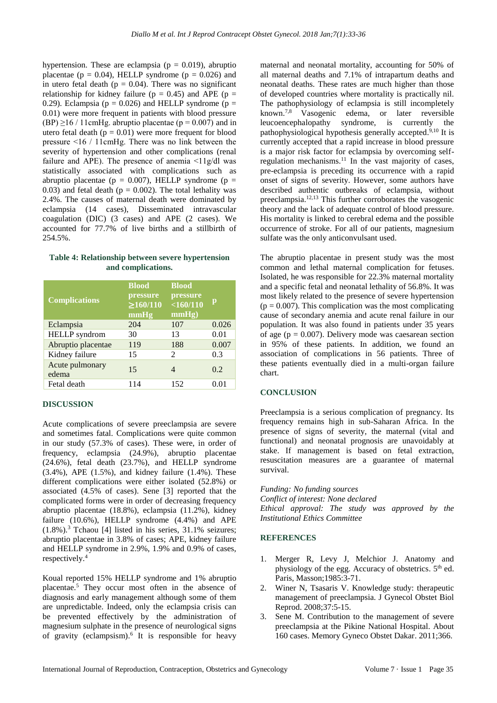hypertension. These are eclampsia ( $p = 0.019$ ), abruptio placentae ( $p = 0.04$ ), HELLP syndrome ( $p = 0.026$ ) and in utero fetal death ( $p = 0.04$ ). There was no significant relationship for kidney failure ( $p = 0.45$ ) and APE ( $p =$ 0.29). Eclampsia ( $p = 0.026$ ) and HELLP syndrome ( $p =$ 0.01) were more frequent in patients with blood pressure (BP)  $\geq$ 16 / 11cmHg. abruptio placentae (p = 0.007) and in utero fetal death ( $p = 0.01$ ) were more frequent for blood pressure ˂16 / 11cmHg. There was no link between the severity of hypertension and other complications (renal failure and APE). The presence of anemia  $\leq 11$  g/dl was statistically associated with complications such as abruptio placentae ( $p = 0.007$ ), HELLP syndrome ( $p =$ 0.03) and fetal death ( $p = 0.002$ ). The total lethality was 2.4%. The causes of maternal death were dominated by eclampsia (14 cases), Disseminated intravascular coagulation (DIC) (3 cases) and APE (2 cases). We accounted for 77.7% of live births and a stillbirth of 254.5%.

|                    |  |  |  | Table 4: Relationship between severe hypertension |
|--------------------|--|--|--|---------------------------------------------------|
| and complications. |  |  |  |                                                   |

| <b>Complications</b>     | <b>Blood</b><br>pressure<br>$\geq 160/110$<br>mmHg | <b>Blood</b><br>pressure<br>$<$ 160/110<br>mmHg) | p     |
|--------------------------|----------------------------------------------------|--------------------------------------------------|-------|
| Eclampsia                | 204                                                | 107                                              | 0.026 |
| <b>HELLP</b> syndrom     | 30                                                 | 13                                               | 0.01  |
| Abruptio placentae       | 119                                                | 188                                              | 0.007 |
| Kidney failure           | 15                                                 | $\mathcal{D}_{\mathcal{L}}$                      | 0.3   |
| Acute pulmonary<br>edema | 15                                                 | 4                                                | 0.2   |
| Fetal death              | 114                                                | 152                                              | 0.01  |

#### **DISCUSSION**

Acute complications of severe preeclampsia are severe and sometimes fatal. Complications were quite common in our study (57.3% of cases). These were, in order of frequency, eclampsia (24.9%), abruptio placentae  $(24.6\%)$ , fetal death  $(23.7\%)$ , and HELLP syndrome  $(3.4\%)$ , APE  $(1.5\%)$ , and kidney failure  $(1.4\%)$ . These different complications were either isolated (52.8%) or associated (4.5% of cases). Sene [3] reported that the complicated forms were in order of decreasing frequency abruptio placentae (18.8%), eclampsia (11.2%), kidney failure (10.6%), HELLP syndrome (4.4%) and APE (1.8%).<sup>3</sup> Tchaou [4] listed in his series, 31.1% seizures; abruptio placentae in 3.8% of cases; APE, kidney failure and HELLP syndrome in 2.9%, 1.9% and 0.9% of cases, respectively. 4

Koual reported 15% HELLP syndrome and 1% abruptio placentae.<sup>5</sup> They occur most often in the absence of diagnosis and early management although some of them are unpredictable. Indeed, only the eclampsia crisis can be prevented effectively by the administration of magnesium sulphate in the presence of neurological signs of gravity (eclampsism). 6 It is responsible for heavy maternal and neonatal mortality, accounting for 50% of all maternal deaths and 7.1% of intrapartum deaths and neonatal deaths. These rates are much higher than those of developed countries where mortality is practically nil. The pathophysiology of eclampsia is still incompletely known. 7,8 Vasogenic edema, or later reversible leucoencephalopathy syndrome, is currently the pathophysiological hypothesis generally accepted. 9,10 It is currently accepted that a rapid increase in blood pressure is a major risk factor for eclampsia by overcoming selfregulation mechanisms. $11$  In the vast majority of cases, pre-eclampsia is preceding its occurrence with a rapid onset of signs of severity. However, some authors have described authentic outbreaks of eclampsia, without preeclampsia.12,13 This further corroborates the vasogenic theory and the lack of adequate control of blood pressure. His mortality is linked to cerebral edema and the possible occurrence of stroke. For all of our patients, magnesium sulfate was the only anticonvulsant used.

The abruptio placentae in present study was the most common and lethal maternal complication for fetuses. Isolated, he was responsible for 22.3% maternal mortality and a specific fetal and neonatal lethality of 56.8%. It was most likely related to the presence of severe hypertension  $(p = 0.007)$ . This complication was the most complicating cause of secondary anemia and acute renal failure in our population. It was also found in patients under 35 years of age ( $p = 0.007$ ). Delivery mode was caesarean section in 95% of these patients. In addition, we found an association of complications in 56 patients. Three of these patients eventually died in a multi-organ failure chart.

#### **CONCLUSION**

Preeclampsia is a serious complication of pregnancy. Its frequency remains high in sub-Saharan Africa. In the presence of signs of severity, the maternal (vital and functional) and neonatal prognosis are unavoidably at stake. If management is based on fetal extraction, resuscitation measures are a guarantee of maternal survival.

*Funding: No funding sources Conflict of interest: None declared Ethical approval: The study was approved by the Institutional Ethics Committee*

#### **REFERENCES**

- 1. Merger R, Levy J, Melchior J. Anatomy and physiology of the egg. Accuracy of obstetrics.  $5<sup>th</sup>$  ed. Paris, Masson;1985:3-71.
- 2. Winer N, Tsasaris V. Knowledge study: therapeutic management of preeclampsia. J Gynecol Obstet Biol Reprod. 2008;37:5-15.
- 3. Sene M. Contribution to the management of severe preeclampsia at the Pikine National Hospital. About 160 cases. Memory Gyneco Obstet Dakar. 2011;366.